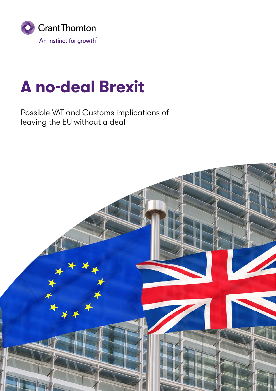

# **A no-deal Brexit**

Possible VAT and Customs implications of leaving the EU without a deal

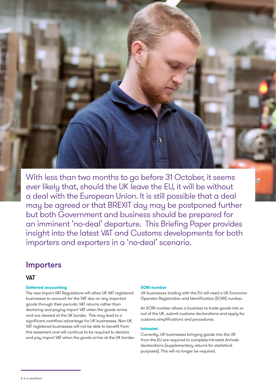With less than two months to go before 31 October, it seems ever likely that, should the UK leave the EU, it will be without a deal with the European Union. It is still possible that a deal may be agreed or that BREXIT day may be postponed further but both Government and business should be prepared for an imminent 'no-deal' departure. This Briefing Paper provides insight into the latest VAT and Customs developments for both importers and exporters in a 'no-deal' scenario.

# Importers

# **VAT**

# **Deferred accounting**

The new Import VAT Regulations will allow UK VAT registered businesses to account for the VAT due on any imported goods through their periodic VAT returns rather than declaring and paying import VAT when the goods arrive and are cleared at the UK border. This may lead to a significant cashflow advantage for UK businesses. Non-UK VAT registered businesses will not be able to benefit from this easement and will continue to be required to declare and pay import VAT when the goods arrive at the UK border.

## **EORI number**

UK businesses trading with the EU will need a UK Economic Operator Registration and Identification (EORI) number.

An EORI number allows a business to trade goods into or out of the UK, submit customs declarations and apply for customs simplifications and procedures.

# **Intrastat**

Currently, UK businesses bringing goods into the UK from the EU are required to complete Intrastat Arrivals declarations (supplementary returns for statistical purposes). This will no longer be required.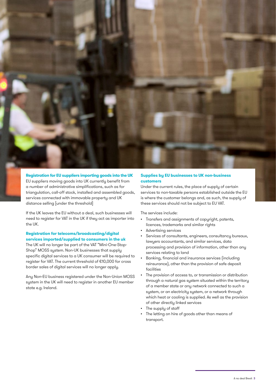

**Registration for EU suppliers importing goods into the UK** EU suppliers moving goods into UK currently benefit from a number of administrative simplifications, such as for triangulation, call-off stock, installed and assembled goods, services connected with immovable property and UK distance selling [under the threshold]

If the UK leaves the EU without a deal, such businesses will need to register for VAT in the UK if they act as importer into the UK.

# **Registration for telecoms/broadcasting/digital services imported/supplied to consumers in the uk**

The UK will no longer be part of the VAT "Mini-One-Stop-Shop" MOSS system. Non-UK businesses that supply specific digital services to a UK consumer will be required to register for VAT. The current threshold of €10,000 for cross border sales of digital services will no longer apply.

Any Non-EU business registered under the Non-Union MOSS system in the UK will need to register in another EU member state e.g. Ireland.

# **Supplies by EU businesses to UK non-business customers**

Under the current rules, the place of supply of certain services to non-taxable persons established outside the EU is where the customer belongs and, as such, the supply of these services should not be subject to EU VAT.

The services include:

- Transfers and assignments of copyright, patents, licences, trademarks and similar rights
- Advertising services
- Services of consultants, engineers, consultancy bureaux, lawyers accountants, and similar services, data processing and provision of information, other than any services relating to land
- Banking, financial and insurance services (including reinsurance), other than the provision of safe deposit facilities
- The provision of access to, or transmission or distribution through a natural gas system situated within the territory of a member state or any network connected to such a system, or an electricity system, or a network through which heat or cooling is supplied. As well as the provision of other directly linked services
- The supply of staff
- The letting on hire of goods other than means of transport.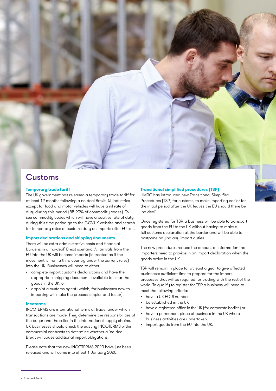

# **Customs**

## **Temporary trade tariff**

The UK government has released a temporary trade tariff for at least 12 months following a no-deal Brexit. All industries except for food and motor vehicles will have a nil rate of duty during this period (85-90% of commodity codes). To see [commodity codes which will have a positive rate of duty](https://www.gov.uk/government/publications/temporary-rates-of-customs-duty-on-imports-after-eu-exit)  [during this time period](https://www.gov.uk/government/publications/temporary-rates-of-customs-duty-on-imports-after-eu-exit) go to the GOV.UK website and search for temporary rates of customs duty on imports after EU exit.

#### **Import declarations and shipping documents**

There will be extra administrative costs and financial burdens in a 'no-deal' Brexit scenario. All arrivals from the EU into the UK will become imports (ie treated as if the movement is from a third country under the current rules) into the UK. Businesses will need to either

- complete import customs declarations and have the appropriate shipping documents available to clear the goods in the UK, or
- appoint a customs agent (which, for businesses new to importing will make the process simpler and faster).

## **Incoterms**

INCOTERMS are international terms of trade, under which transactions are made. They determine the responsibilities of the buyer and the seller in the international supply chains. UK businesses should check the existing INCOTERMS within commercial contracts to determine whether a 'no-deal' Brexit will cause additional import obligations.

Please note that the new INCOTERMS 2020 have just been released and will come into effect 1 January 2020.

## **Transitional simplified procedures (TSP)**

HMRC has introduced new Transitional Simplified Procedures (TSP) for customs, to make importing easier for the initial period after the UK leaves the EU should there be 'no-deal'.

Once registered for TSP, a business will be able to transport goods from the EU to the UK without having to make a full customs declaration at the border and will be able to postpone paying any import duties.

The new procedures reduce the amount of information that importers need to provide in an import declaration when the goods arrive in the UK.

TSP will remain in place for at least a year to give affected businesses sufficient time to prepare for the import processes that will be required for trading with the rest of the world. To qualify to register for TSP a business will need to meet the following criteria:

- have a UK EORI number
- be established in the UK
- have a registered office in the UK (for corporate bodies) or
- have a permanent place of business in the UK where business activities are undertaken
- import goods from the EU into the UK.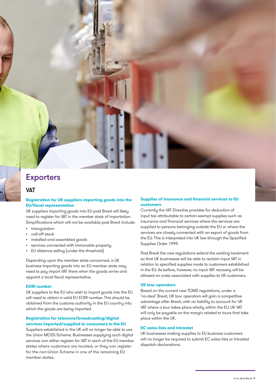# Exporters

# **VAT**

# **Registration for UK suppliers importing goods into the EU/fiscal representation**

UK suppliers importing goods into EU post Brexit will likely need to register for VAT in the member state of importation. Simplifications which will not be available post Brexit include:

- triangulation
- call-off stock
- installed and assembled goods
- services connected with immovable property
- EU distance selling (under the threshold)

Depending upon the member state concerned, a UK business importing goods into an EU member state may need to pay import VAT there when the goods arrive and appoint a local fiscal representative.

## **EORI number**

UK suppliers to the EU who wish to import goods into the EU will need to obtain a valid EU EORI number. This should be obtained from the customs authority in the EU country into which the goods are being imported.

# **Registration for telecoms/broadcasting/digital services imported/supplied to consumers in the EU**

Suppliers established in the UK will no longer be able to use the Union MOSS Scheme. Businesses supplying such digital services can either register for VAT in each of the EU member states where customers are located, or they can register for the non-Union Scheme in one of the remaining EU member states.

# **Supplies of insurance and financial services to EU customers**

Currently the VAT Directive provides for deduction of input tax attributable to certain exempt supplies such as insurance and financial services where the services are supplied to persons belonging outside the EU or where the services are closely connected with an export of goods from the EU. This is interpreted into UK law through the Specified Supplies Order 1999.

Post Brexit the new regulations extend the existing treatment so that UK businesses will be able to reclaim input VAT in relation to specified supplies made to customers established in the EU. As before, however, no input VAT recovery will be allowed on costs associated with supplies to UK customers.

## **UK tour operators**

Based on the current new TOMS regulations, under a 'no-deal' Brexit, UK tour operators will gain a competitive advantage after Brexit, with no liability to account for UK VAT where a tour takes place wholly within the EU. UK VAT will only be payable on the margin related to tours that take place within the UK.

# **EC sales lists and intrastat**

UK businesses making supplies to EU business customers will no longer be required to submit EC sales lists or Intrastat dispatch declarations.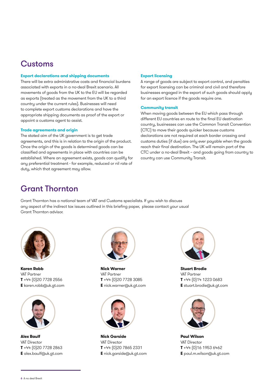# Customs

# **Export declarations and shipping documents**

There will be extra administrative costs and financial burdens associated with exports in a no-deal Brexit scenario. All movements of goods from the UK to the EU will be regarded as exports (treated as the movement from the UK to a third country under the current rules). Businesses will need to complete export customs declarations and have the appropriate shipping documents as proof of the export or appoint a customs agent to assist.

## **Trade agreements and origin**

The stated aim of the UK government is to get trade agreements, and this is in relation to the origin of the product. Once the origin of the goods is determined goods can be classified and agreements in place with countries can be established. Where an agreement exists, goods can qualify for any preferential treatment - for example, reduced or nil rate of duty, which that agreement may allow.

# **Export licensing**

A range of goods are subject to export control, and penalties for export licensing can be criminal and civil and therefore businesses engaged in the export of such goods should apply for an export licence if the goods require one.

#### **Community transit**

When moving goods between the EU which pass through different EU countries en route to the final EU destination country, businesses can use the Common Transit Convention (CTC) to move their goods quicker because customs declarations are not required at each border crossing and customs duties (if due) are only ever payable when the goods reach their final destination. The UK will remain part of the CTC under a no-deal Brexit – and goods going from country to country can use Community Transit.

# Grant Thornton

Grant Thornton has a national team of VAT and Customs specialists. If you wish to discuss any aspect of the indirect tax issues outlined in this briefing paper, please contact your usual Grant Thornton advisor.



**Karen Robb** VAT Partner **T** +44 (0)20 7728 2556 **E** karen.robb@uk.gt.com



**Alex Baulf** VAT Director **T** +44 (0)20 7728 2863 **E** alex.baulf@uk.gt.com



**Nick Warner** VAT Partner **T** +44 (0)20 7728 3085 **E** nick.warner@uk.gt.com



**Nick Garside**  VAT Director **T** +44 (0)20 7865 2331 **E** nick.garside@uk.gt.com



**Stuart Brodie**  VAT Partner **T** +44 (0)14 1223 0683 **E** stuart.brodie@uk.gt.com



**Paul Wilson**  VAT Director **T** +44 (0)16 1953 6462 **E** paul.m.wilson@uk.gt.com